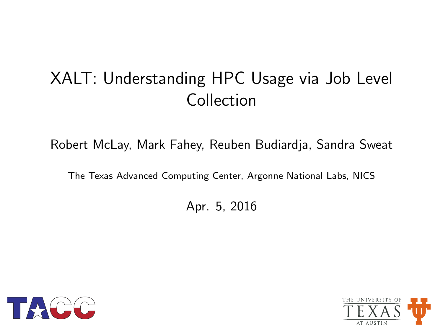#### XALT: Understanding HPC Usage via Job Level Collection

Robert McLay, Mark Fahey, Reuben Budiardja, Sandra Sweat

The Texas Advanced Computing Center, Argonne National Labs, NICS

Apr. 5, 2016



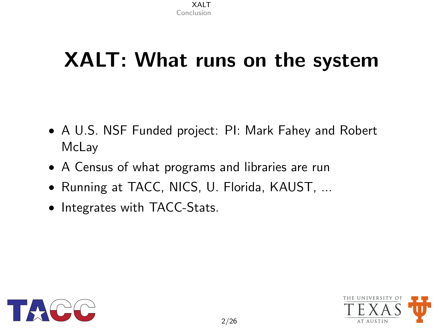#### <span id="page-1-0"></span>XALT: What runs on the system

- A U.S. NSF Funded project: PI: Mark Fahey and Robert **McLay**
- A Census of what programs and libraries are run
- Running at TACC, NICS, U. Florida, KAUST, ...
- Integrates with TACC-Stats.



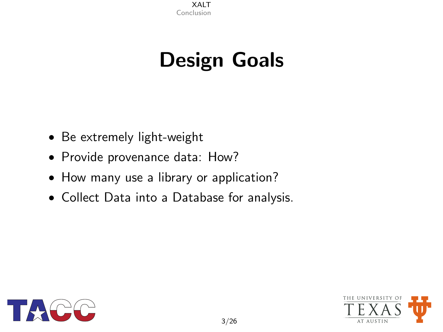### Design Goals

- Be extremely light-weight
- Provide provenance data: How?
- How many use a library or application?
- Collect Data into a Database for analysis.



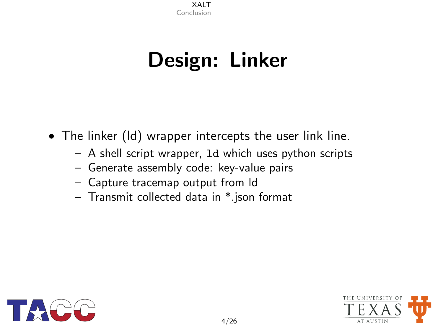### Design: Linker

• The linker (ld) wrapper intercepts the user link line.

- A shell script wrapper, ld which uses python scripts
- Generate assembly code: key-value pairs
- Capture tracemap output from ld
- Transmit collected data in \*.json format



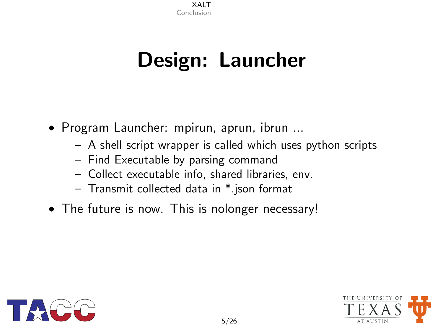#### Design: Launcher

- Program Launcher: mpirun, aprun, ibrun ...
	- A shell script wrapper is called which uses python scripts
	- Find Executable by parsing command
	- Collect executable info, shared libraries, env.
	- Transmit collected data in \*.json format
- The future is now. This is nolonger necessary!



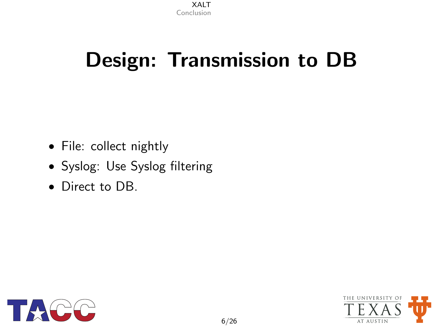### Design: Transmission to DB

- File: collect nightly
- Syslog: Use Syslog filtering
- Direct to DB.



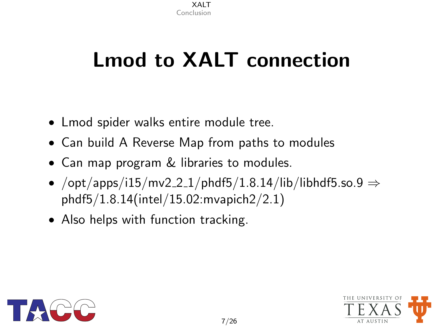### Lmod to XALT connection

- Lmod spider walks entire module tree.
- Can build A Reverse Map from paths to modules
- Can map program & libraries to modules.
- /opt/apps/i15/mv2\_2\_1/phdf5/1.8.14/lib/libhdf5.so.9  $\Rightarrow$ phdf5/1.8.14(intel/15.02:mvapich2/2.1)
- Also helps with function tracking.



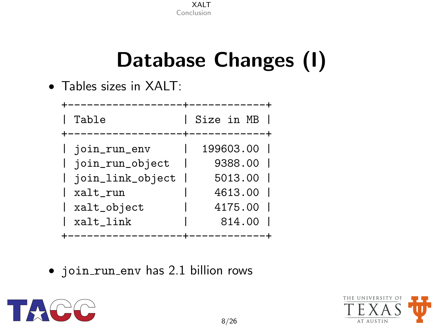#### Database Changes (I)

• Tables sizes in XALT:

| Table                                                                                           | Size in MB                                                          |  |
|-------------------------------------------------------------------------------------------------|---------------------------------------------------------------------|--|
| join_run_env<br>  join_run_object<br>  join_link_object<br>xalt_run<br>xalt_object<br>xalt_link | 199603.00  <br>9388.00  <br>5013.00<br>4613.00<br>4175.00<br>814.00 |  |
|                                                                                                 |                                                                     |  |

• join run env has 2.1 billion rows



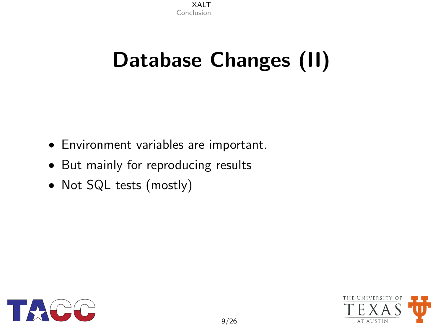## Database Changes (II)

- Environment variables are important.
- But mainly for reproducing results
- Not SQL tests (mostly)



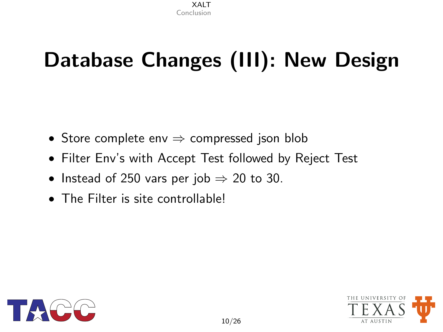### Database Changes (III): New Design

- Store complete env  $\Rightarrow$  compressed json blob
- Filter Env's with Accept Test followed by Reject Test
- Instead of 250 vars per job  $\Rightarrow$  20 to 30.
- The Filter is site controllable!



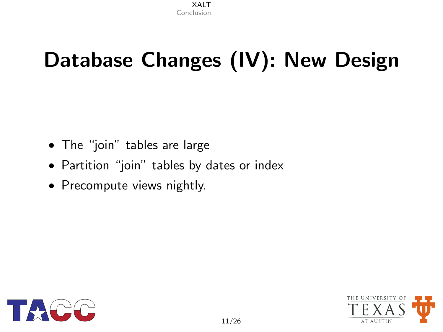## Database Changes (IV): New Design

- The "join" tables are large
- Partition "join" tables by dates or index
- Precompute views nightly.



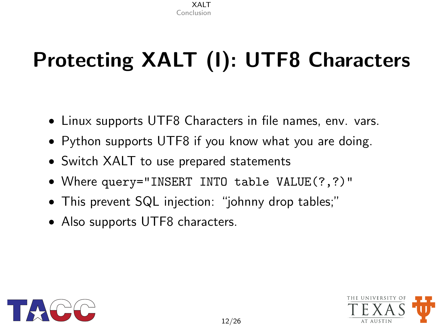## Protecting XALT (I): UTF8 Characters

- Linux supports UTF8 Characters in file names, env. vars.
- Python supports UTF8 if you know what you are doing.
- Switch XALT to use prepared statements
- Where query="INSERT INTO table VALUE(?,?)"
- This prevent SQL injection: "johnny drop tables;"
- Also supports UTF8 characters.



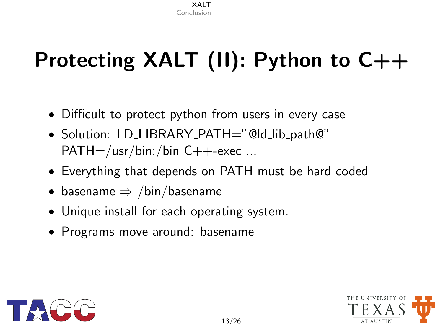## Protecting XALT (II): Python to  $C_{++}$

- Difficult to protect python from users in every case
- Solution: LD\_LIBRARY\_PATH="@ld\_lib\_path@"  $PATH=/usr/bin:/bin C++-exec ...$
- Everything that depends on PATH must be hard coded
- basename  $\Rightarrow$  /bin/basename
- Unique install for each operating system.
- Programs move around: basename



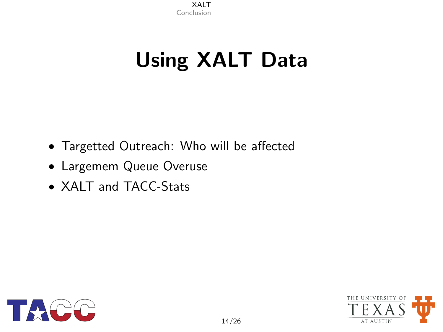### Using XALT Data

- Targetted Outreach: Who will be affected
- Largemem Queue Overuse
- XALT and TACC-Stats



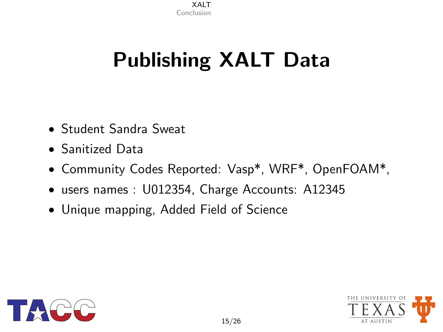### Publishing XALT Data

- Student Sandra Sweat
- Sanitized Data
- Community Codes Reported: Vasp\*, WRF\*, OpenFOAM\*,
- users names : U012354, Charge Accounts: A12345
- Unique mapping, Added Field of Science



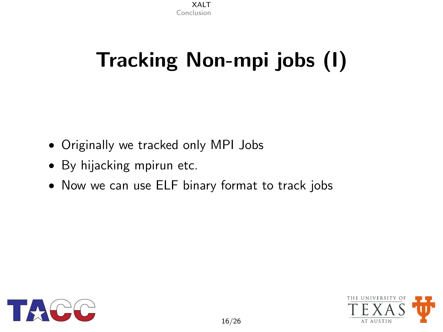## Tracking Non-mpi jobs (I)

- Originally we tracked only MPI Jobs
- By hijacking mpirun etc.
- Now we can use ELF binary format to track jobs



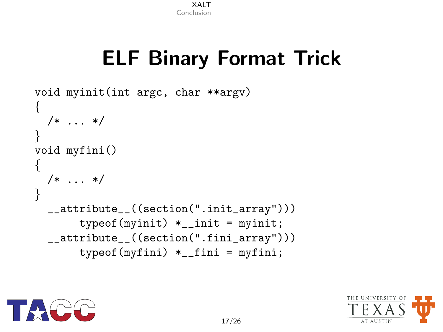#### ELF Binary Format Trick

```
void myinit(int argc, char **argv)
{
  /* \ldots */}
void myfini()
{
  /* \ldots */}
  __attribute__((section(".init_array")))
       typeof(myinit) * _{-init} = myinit;__attribute__((section(".fini_array")))
       typeof(myfini) * __fini = myfini;
```


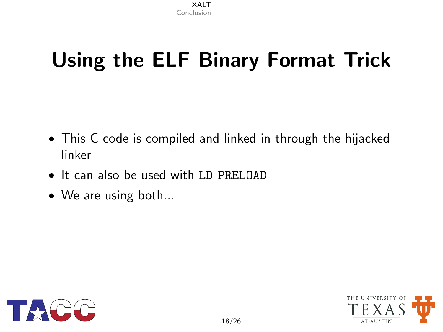### Using the ELF Binary Format Trick

- This C code is compiled and linked in through the hijacked linker
- It can also be used with LD\_PRELOAD
- We are using both...



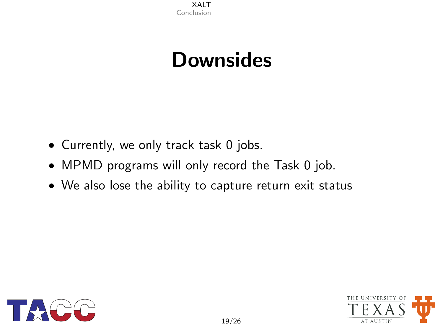#### **Downsides**

- Currently, we only track task 0 jobs.
- MPMD programs will only record the Task 0 job.
- We also lose the ability to capture return exit status



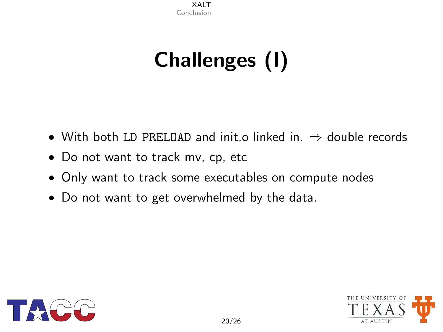# Challenges (I)

- With both LD PRELOAD and init.o linked in.  $\Rightarrow$  double records
- Do not want to track mv, cp, etc
- Only want to track some executables on compute nodes
- Do not want to get overwhelmed by the data.



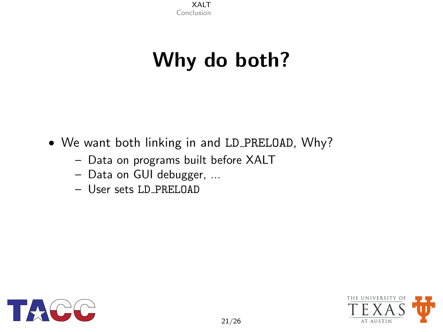### Why do both?

- We want both linking in and LD PRELOAD, Why?
	- Data on programs built before XALT
	- Data on GUI debugger, ...
	- User sets LD PRELOAD



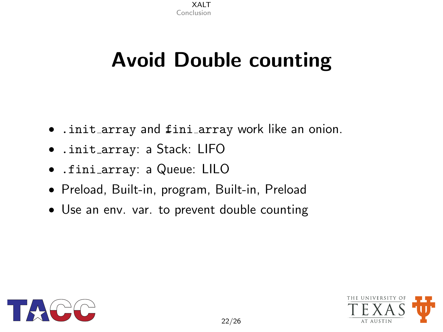#### Avoid Double counting

- .init\_array and fini\_array work like an onion.
- .init array: a Stack: LIFO
- .fini array: a Queue: LILO
- Preload, Built-in, program, Built-in, Preload
- Use an env. var. to prevent double counting



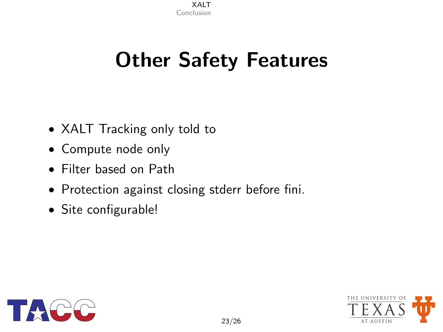### Other Safety Features

- XALT Tracking only told to
- Compute node only
- Filter based on Path
- Protection against closing stderr before fini.
- Site configurable!



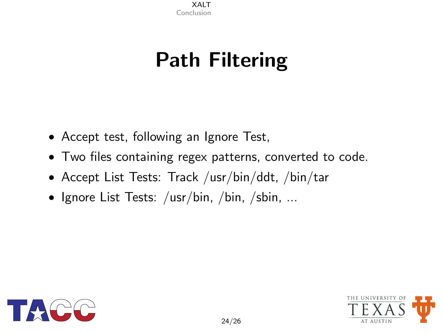### Path Filtering

- Accept test, following an Ignore Test,
- Two files containing regex patterns, converted to code.
- Accept List Tests: Track /usr/bin/ddt, /bin/tar
- Ignore List Tests: /usr/bin, /bin, /sbin, ...



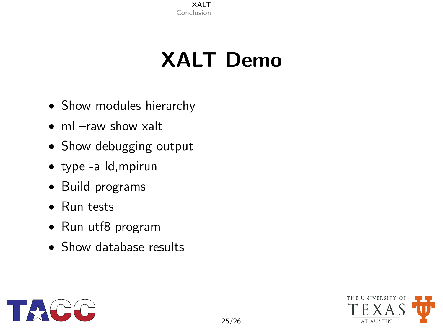### XALT Demo

- Show modules hierarchy
- ml –raw show xalt
- Show debugging output
- type -a ld,mpirun
- Build programs
- Run tests
- Run utf8 program
- Show database results